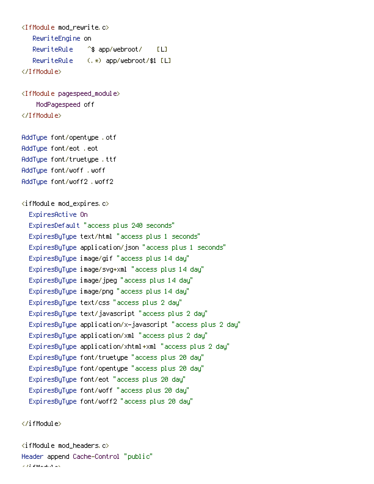```
<IfModule mod_rewrite.c>
   RewriteEngine on
   RewriteRule ^$ app/webroot/ [L]
   RewriteRule (.*) app/webroot/$1 [L]
</IfModule>
<IfModule pagespeed_module>
    ModPagespeed off
</IfModule>
AddType font/opentype .otf
AddType font/eot .eot
AddType font/truetype .ttf
AddType font/woff .woff
AddType font/woff2 .woff2
<ifModule mod_expires.c>
  ExpiresActive On
  ExpiresDefault "access plus 240 seconds"
  ExpiresByType text/html "access plus 1 seconds"
  ExpiresByType application/json "access plus 1 seconds"
  ExpiresByType image/gif "access plus 14 day"
  ExpiresByType image/svg+xml "access plus 14 day"
  ExpiresByType image/jpeg "access plus 14 day"
  ExpiresByType image/png "access plus 14 day"
  ExpiresByType text/css "access plus 2 day"
  ExpiresByType text/javascript "access plus 2 day"
  ExpiresByType application/x-javascript "access plus 2 day"
  ExpiresByType application/xml "access plus 2 day"
  ExpiresByType application/xhtml+xml "access plus 2 day"
  ExpiresByType font/truetype "access plus 20 day"
  ExpiresByType font/opentype "access plus 20 day"
  ExpiresByType font/eot "access plus 20 day"
  ExpiresByType font/woff "access plus 20 day"
  ExpiresByType font/woff2 "access plus 20 day"
```
</ifModule>

 $\langle$ ifModule mod headers.c $\rangle$ Header append Cache-Control "public"  $\times$  ) is module to be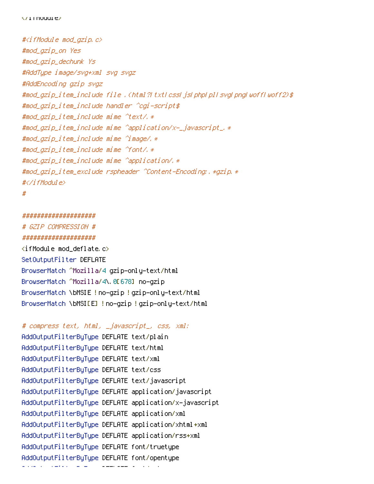#<ifModule mod\_gzip.c> #mod\_gzip\_on Yes #mod\_gzip\_dechunk Ys #AddType image/svg+xml svg svgz #AddEncoding gzip svgz #mod\_gzip\_item\_include file .(html?|txt|css|js|php|pl|svg|png|woff|woff2)\$ #mod\_gzip\_item\_include handler ^cgi-script\$ #mod\_gzip\_item\_include mime ^text/.\* #mod\_gzip\_item\_include mime ^application/x-\_javascript\_.\* #mod\_gzip\_item\_include mime ^image/.\* #mod\_gzip\_item\_include mime ^font/.\* #mod\_gzip\_item\_include mime ^application/.\* #mod\_gzip\_item\_exclude rspheader ^Content-Encoding:.\*gzip.\* #</ifModule> #

```
####################
# GZIP COMPRESSION #
####################
\langleifModule mod deflate.c\rangleSetOutputFilter DEFLATE
BrowserMatch ^Mozilla/4 gzip-only-text/html
BrowserMatch ^Mozilla/4\.0[678] no-gzip
BrowserMatch \bMSIE !no-gzip !gzip-only-text/html
BrowserMatch \bMSI[E] !no-gzip !gzip-only-text/html
```

```
# compress text, html, _javascript_, css, xml:
AddOutputFilterByType DEFLATE text/plain
AddOutputFilterByType DEFLATE text/html
AddOutputFilterByType DEFLATE text/xml
AddOutputFilterByType DEFLATE text/css
AddOutputFilterByType DEFLATE text/javascript
AddOutputFilterByType DEFLATE application/javascript
AddOutputFilterByType DEFLATE application/x-javascript
AddOutputFilterByType DEFLATE application/xml
AddOutputFilterByType DEFLATE application/xhtml+xml
AddOutputFilterByType DEFLATE application/rss+xml
AddOutputFilterByType DEFLATE font/truetype
AddOutputFilterByType DEFLATE font/opentype
AddOutputFilterByType DEFLATE font/eot
```